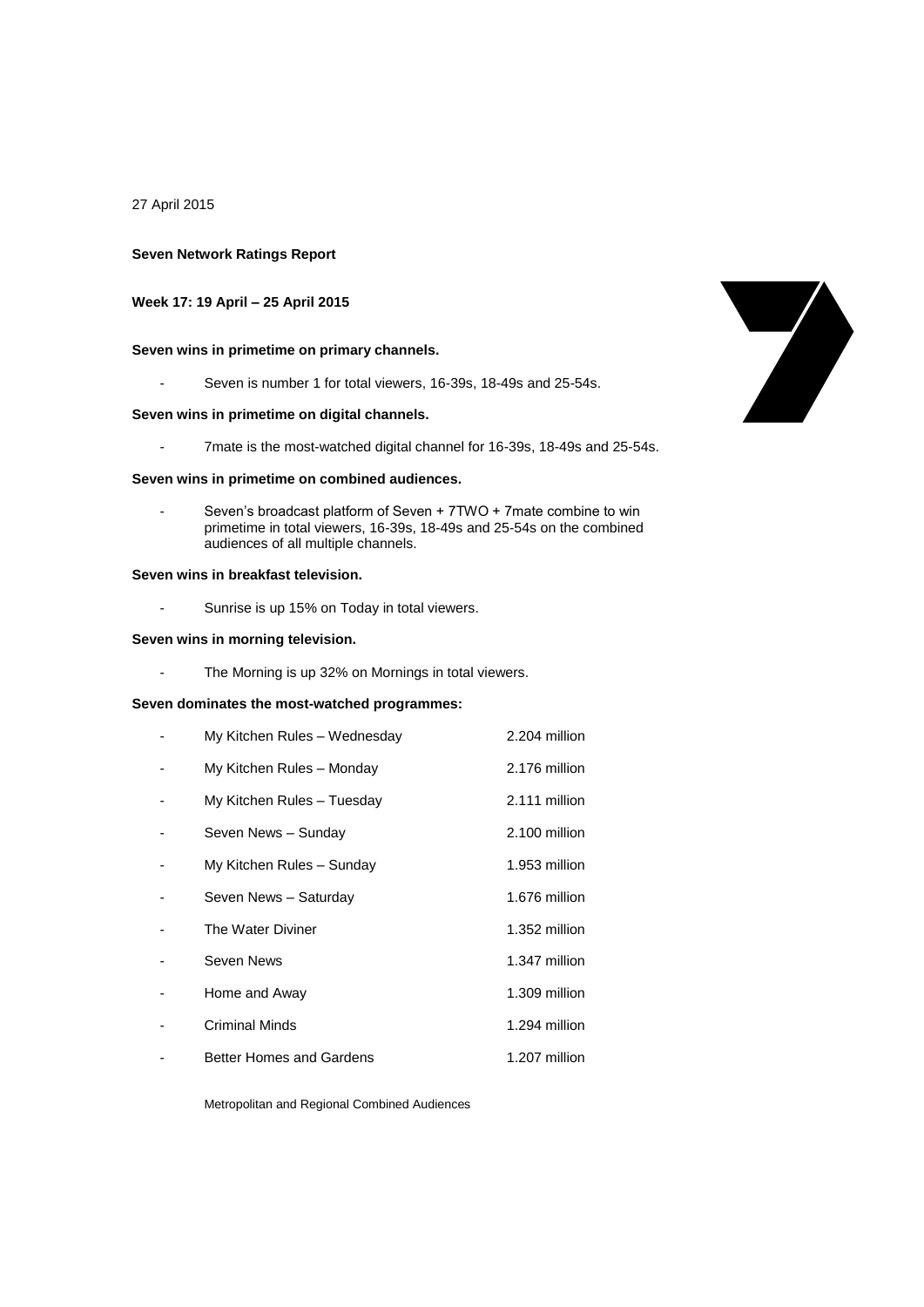27 April 2015

### **Seven Network Ratings Report**

# **Week 17: 19 April – 25 April 2015**

# **Seven wins in primetime on primary channels.**

- Seven is number 1 for total viewers, 16-39s, 18-49s and 25-54s.

## **Seven wins in primetime on digital channels.**

- 7mate is the most-watched digital channel for 16-39s, 18-49s and 25-54s.

#### **Seven wins in primetime on combined audiences.**

Seven's broadcast platform of Seven + 7TWO + 7mate combine to win primetime in total viewers, 16-39s, 18-49s and 25-54s on the combined audiences of all multiple channels.

#### **Seven wins in breakfast television.**

- Sunrise is up 15% on Today in total viewers.

#### **Seven wins in morning television.**

- The Morning is up 32% on Mornings in total viewers.

## **Seven dominates the most-watched programmes:**

| My Kitchen Rules - Wednesday | 2.204 million |
|------------------------------|---------------|
| My Kitchen Rules - Monday    | 2.176 million |
| My Kitchen Rules - Tuesday   | 2.111 million |
| Seven News - Sunday          | 2.100 million |
| My Kitchen Rules - Sunday    | 1.953 million |
| Seven News - Saturday        | 1.676 million |
| The Water Diviner            | 1.352 million |
| Seven News                   | 1.347 million |
| Home and Away                | 1.309 million |
| <b>Criminal Minds</b>        | 1.294 million |
| Better Homes and Gardens     | 1.207 million |

Metropolitan and Regional Combined Audiences

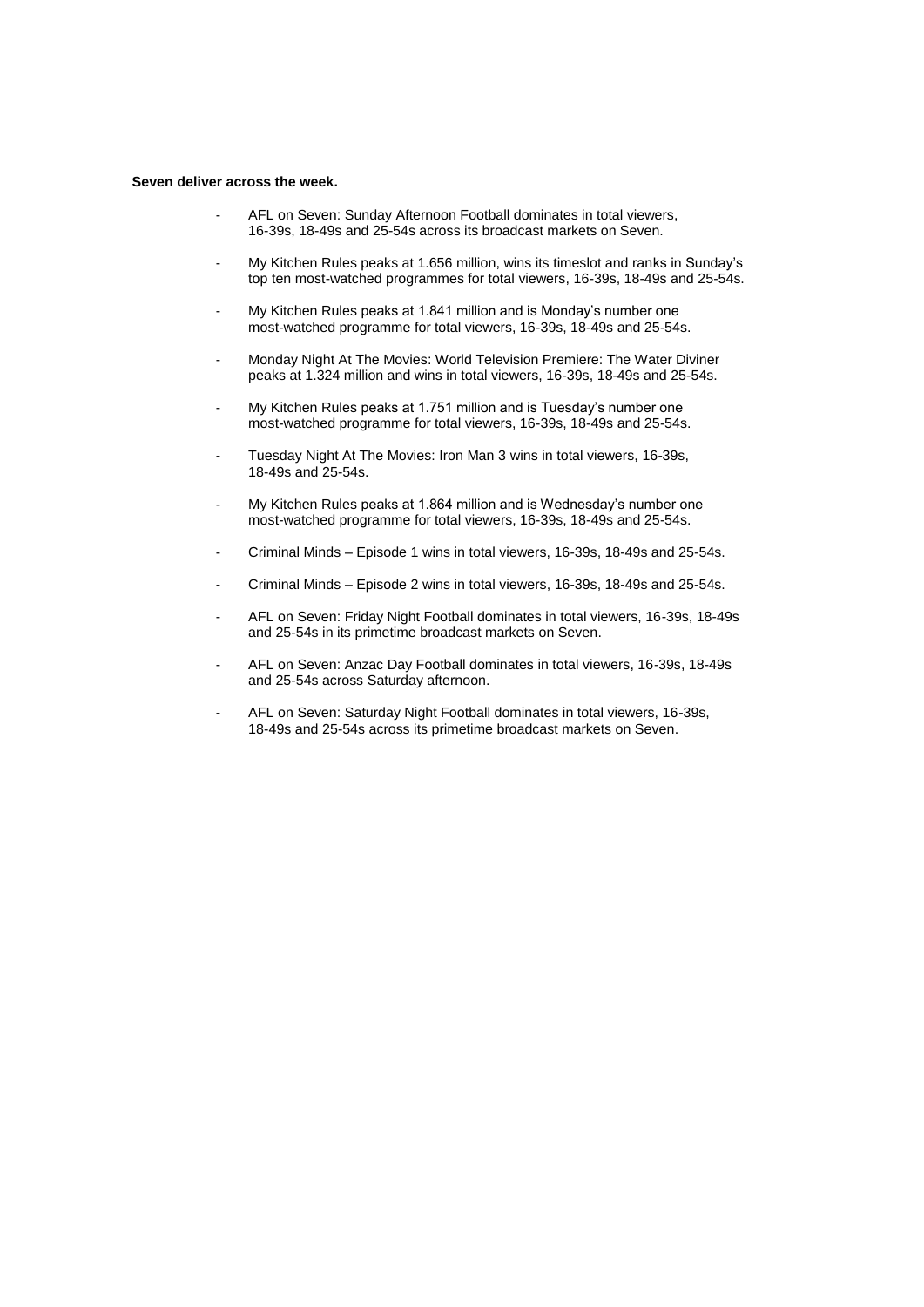#### **Seven deliver across the week.**

- AFL on Seven: Sunday Afternoon Football dominates in total viewers, 16-39s, 18-49s and 25-54s across its broadcast markets on Seven.
- My Kitchen Rules peaks at 1.656 million, wins its timeslot and ranks in Sunday's top ten most-watched programmes for total viewers, 16-39s, 18-49s and 25-54s.
- My Kitchen Rules peaks at 1.841 million and is Monday's number one most-watched programme for total viewers, 16-39s, 18-49s and 25-54s.
- Monday Night At The Movies: World Television Premiere: The Water Diviner peaks at 1.324 million and wins in total viewers, 16-39s, 18-49s and 25-54s.
- My Kitchen Rules peaks at 1.751 million and is Tuesday's number one most-watched programme for total viewers, 16-39s, 18-49s and 25-54s.
- Tuesday Night At The Movies: Iron Man 3 wins in total viewers, 16-39s, 18-49s and 25-54s.
- My Kitchen Rules peaks at 1.864 million and is Wednesday's number one most-watched programme for total viewers, 16-39s, 18-49s and 25-54s.
- Criminal Minds Episode 1 wins in total viewers, 16-39s, 18-49s and 25-54s.
- Criminal Minds Episode 2 wins in total viewers, 16-39s, 18-49s and 25-54s.
- AFL on Seven: Friday Night Football dominates in total viewers, 16-39s, 18-49s and 25-54s in its primetime broadcast markets on Seven.
- AFL on Seven: Anzac Day Football dominates in total viewers, 16-39s, 18-49s and 25-54s across Saturday afternoon.
- AFL on Seven: Saturday Night Football dominates in total viewers, 16-39s, 18-49s and 25-54s across its primetime broadcast markets on Seven.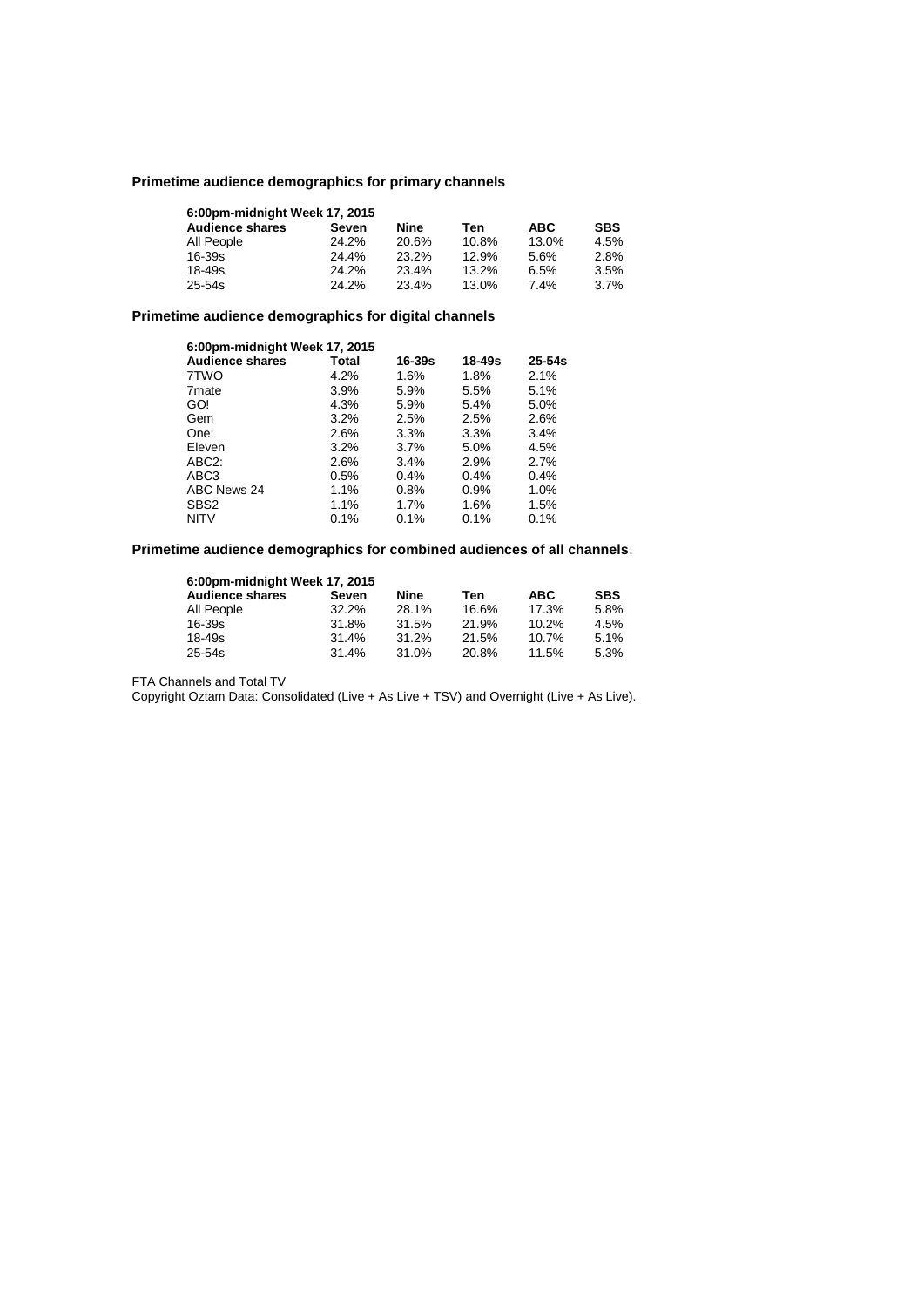# **Primetime audience demographics for primary channels**

| 6:00pm-midnight Week 17, 2015 |       |       |       |            |            |  |
|-------------------------------|-------|-------|-------|------------|------------|--|
| <b>Audience shares</b>        | Seven | Nine  | Ten   | <b>ABC</b> | <b>SBS</b> |  |
| All People                    | 24.2% | 20.6% | 10.8% | 13.0%      | 4.5%       |  |
| $16 - 39s$                    | 24.4% | 23.2% | 12.9% | 5.6%       | 2.8%       |  |
| $18 - 49s$                    | 24.2% | 23.4% | 13.2% | 6.5%       | 3.5%       |  |
| $25 - 54s$                    | 24.2% | 23.4% | 13.0% | 7.4%       | 3.7%       |  |

# **Primetime audience demographics for digital channels**

| 6:00pm-midnight Week 17, 2015 |         |            |            |            |  |
|-------------------------------|---------|------------|------------|------------|--|
| <b>Audience shares</b>        | Total   | $16 - 39s$ | $18 - 49s$ | $25 - 54s$ |  |
| 7TWO                          | 4.2%    | 1.6%       | 1.8%       | 2.1%       |  |
| 7 <sub>mate</sub>             | 3.9%    | 5.9%       | 5.5%       | 5.1%       |  |
| GO!                           | 4.3%    | 5.9%       | 5.4%       | 5.0%       |  |
| Gem                           | 3.2%    | 2.5%       | 2.5%       | 2.6%       |  |
| One:                          | 2.6%    | 3.3%       | 3.3%       | 3.4%       |  |
| Eleven                        | 3.2%    | $3.7\%$    | 5.0%       | 4.5%       |  |
| ABC <sub>2</sub> :            | 2.6%    | 3.4%       | 2.9%       | 2.7%       |  |
| ABC3                          | $0.5\%$ | 0.4%       | 0.4%       | 0.4%       |  |
| ABC News 24                   | 1.1%    | $0.8\%$    | 0.9%       | 1.0%       |  |
| SBS <sub>2</sub>              | 1.1%    | 1.7%       | 1.6%       | 1.5%       |  |
| <b>NITV</b>                   | 0.1%    | 0.1%       | 0.1%       | 0.1%       |  |

# **Primetime audience demographics for combined audiences of all channels**.

| 6:00pm-midnight Week 17, 2015 |          |       |       |            |            |  |
|-------------------------------|----------|-------|-------|------------|------------|--|
| <b>Audience shares</b>        | Seven    | Nine  | Ten   | <b>ABC</b> | <b>SBS</b> |  |
| All People                    | $32.2\%$ | 28.1% | 16.6% | 17.3%      | 5.8%       |  |
| 16-39s                        | 31.8%    | 31.5% | 21.9% | 10.2%      | 4.5%       |  |
| $18 - 49s$                    | 31.4%    | 31.2% | 21.5% | 10.7%      | 5.1%       |  |
| 25-54s                        | 31.4%    | 31.0% | 20.8% | 11.5%      | 5.3%       |  |

FTA Channels and Total TV

Copyright Oztam Data: Consolidated (Live + As Live + TSV) and Overnight (Live + As Live).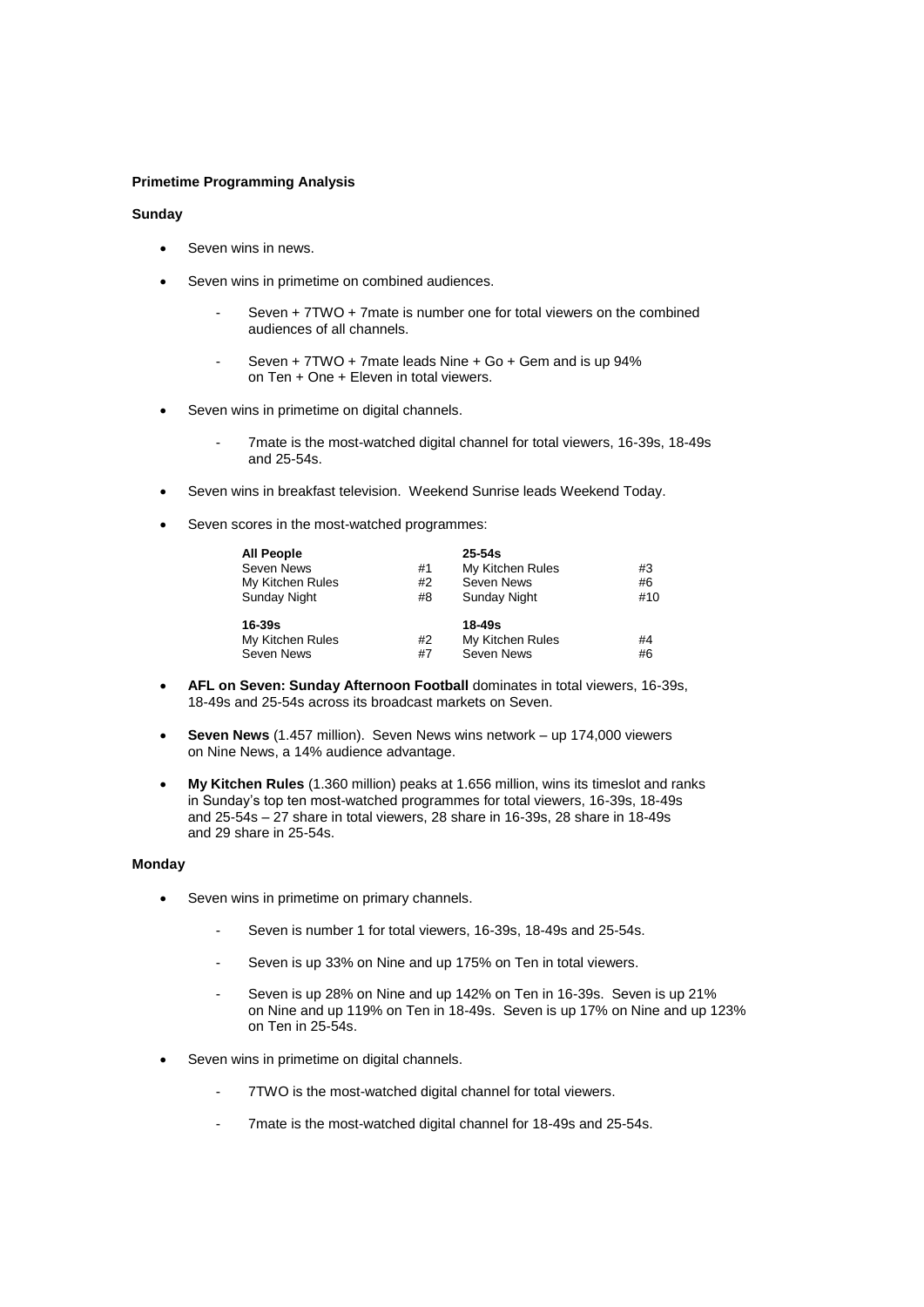### **Primetime Programming Analysis**

### **Sunday**

- Seven wins in news.
- Seven wins in primetime on combined audiences.
	- Seven + 7TWO + 7mate is number one for total viewers on the combined audiences of all channels.
	- Seven + 7TWO + 7mate leads Nine + Go + Gem and is up 94% on Ten + One + Eleven in total viewers.
- Seven wins in primetime on digital channels.
	- 7mate is the most-watched digital channel for total viewers, 16-39s, 18-49s and 25-54s.
- Seven wins in breakfast television. Weekend Sunrise leads Weekend Today.
- Seven scores in the most-watched programmes:

| <b>All People</b> |    | $25-54s$         |     |
|-------------------|----|------------------|-----|
| Seven News        | #1 | My Kitchen Rules | #3  |
| My Kitchen Rules  | #2 | Seven News       | #6  |
| Sunday Night      | #8 | Sunday Night     | #10 |
| 16-39s            |    | $18 - 49s$       |     |
| My Kitchen Rules  | #2 | My Kitchen Rules | #4  |
| Seven News        | #7 | Seven News       | #6  |

- **AFL on Seven: Sunday Afternoon Football** dominates in total viewers, 16-39s, 18-49s and 25-54s across its broadcast markets on Seven.
- **Seven News** (1.457 million). Seven News wins network up 174,000 viewers on Nine News, a 14% audience advantage.
- **My Kitchen Rules** (1.360 million) peaks at 1.656 million, wins its timeslot and ranks in Sunday's top ten most-watched programmes for total viewers, 16-39s, 18-49s and 25-54s – 27 share in total viewers, 28 share in 16-39s, 28 share in 18-49s and 29 share in 25-54s.

### **Monday**

- Seven wins in primetime on primary channels.
	- Seven is number 1 for total viewers, 16-39s, 18-49s and 25-54s.
	- Seven is up 33% on Nine and up 175% on Ten in total viewers.
	- Seven is up 28% on Nine and up 142% on Ten in 16-39s. Seven is up 21% on Nine and up 119% on Ten in 18-49s. Seven is up 17% on Nine and up 123% on Ten in 25-54s.
- Seven wins in primetime on digital channels.
	- 7TWO is the most-watched digital channel for total viewers.
	- 7mate is the most-watched digital channel for 18-49s and 25-54s.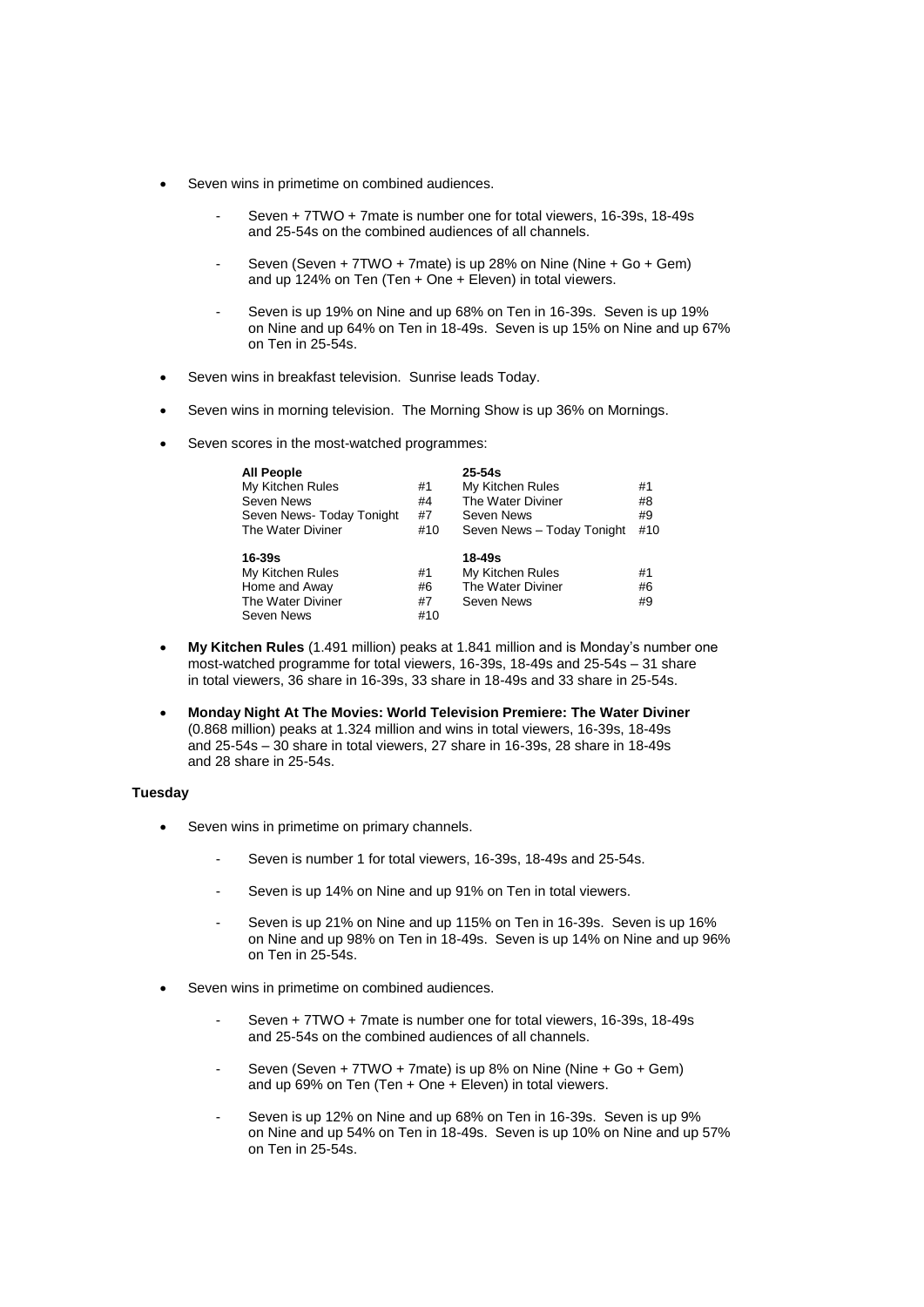- Seven wins in primetime on combined audiences.
	- Seven + 7TWO + 7mate is number one for total viewers, 16-39s, 18-49s and 25-54s on the combined audiences of all channels.
	- Seven (Seven + 7TWO + 7mate) is up 28% on Nine (Nine + Go + Gem) and up 124% on Ten (Ten + One + Eleven) in total viewers.
	- Seven is up 19% on Nine and up 68% on Ten in 16-39s. Seven is up 19% on Nine and up 64% on Ten in 18-49s. Seven is up 15% on Nine and up 67% on Ten in 25-54s.
- Seven wins in breakfast television. Sunrise leads Today.
- Seven wins in morning television. The Morning Show is up 36% on Mornings.
- Seven scores in the most-watched programmes:

| <b>All People</b><br>My Kitchen Rules<br>Seven News<br>Seven News-Today Tonight<br>The Water Diviner | #1<br>#4<br>#7<br>#10 | $25 - 54s$<br>My Kitchen Rules<br>The Water Diviner<br>Seven News<br>Seven News - Today Tonight | #1<br>#8<br>#9<br>#10 |
|------------------------------------------------------------------------------------------------------|-----------------------|-------------------------------------------------------------------------------------------------|-----------------------|
| 16-39s<br>My Kitchen Rules<br>Home and Away<br>The Water Diviner<br>Seven News                       | #1<br>#6<br>#7<br>#10 | 18-49s<br>My Kitchen Rules<br>The Water Diviner<br>Seven News                                   | #1<br>#6<br>#9        |

- **My Kitchen Rules** (1.491 million) peaks at 1.841 million and is Monday's number one most-watched programme for total viewers, 16-39s, 18-49s and 25-54s – 31 share in total viewers, 36 share in 16-39s, 33 share in 18-49s and 33 share in 25-54s.
- **Monday Night At The Movies: World Television Premiere: The Water Diviner** (0.868 million) peaks at 1.324 million and wins in total viewers, 16-39s, 18-49s and 25-54s – 30 share in total viewers, 27 share in 16-39s, 28 share in 18-49s and 28 share in 25-54s.

### **Tuesday**

- Seven wins in primetime on primary channels.
	- Seven is number 1 for total viewers, 16-39s, 18-49s and 25-54s.
	- Seven is up 14% on Nine and up 91% on Ten in total viewers.
	- Seven is up 21% on Nine and up 115% on Ten in 16-39s. Seven is up 16% on Nine and up 98% on Ten in 18-49s. Seven is up 14% on Nine and up 96% on Ten in 25-54s.
- Seven wins in primetime on combined audiences.
	- Seven + 7TWO + 7mate is number one for total viewers, 16-39s, 18-49s and 25-54s on the combined audiences of all channels.
	- Seven (Seven + 7TWO + 7mate) is up 8% on Nine (Nine + Go + Gem) and up 69% on Ten (Ten + One + Eleven) in total viewers.
	- Seven is up 12% on Nine and up 68% on Ten in 16-39s. Seven is up 9% on Nine and up 54% on Ten in 18-49s. Seven is up 10% on Nine and up 57% on Ten in 25-54s.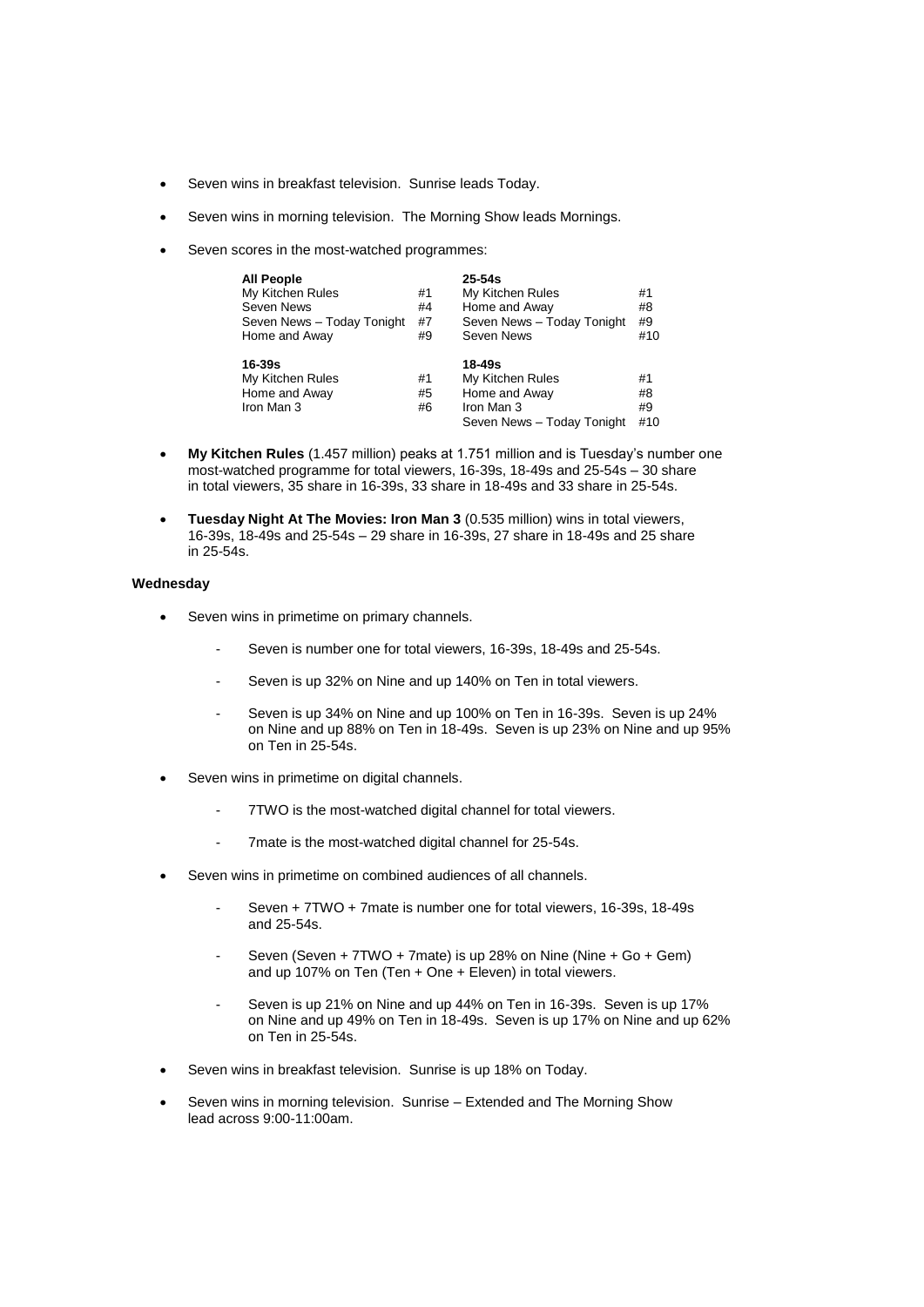- Seven wins in breakfast television. Sunrise leads Today.
- Seven wins in morning television. The Morning Show leads Mornings.
- Seven scores in the most-watched programmes:

| <b>All People</b><br>My Kitchen Rules<br>Seven News<br>Seven News - Today Tonight<br>Home and Away | #1<br>#4<br>#7<br>#9 | $25 - 54s$<br>My Kitchen Rules<br>Home and Away<br>Seven News - Today Tonight<br>Seven News | #1<br>#8<br>#9<br>#10 |
|----------------------------------------------------------------------------------------------------|----------------------|---------------------------------------------------------------------------------------------|-----------------------|
| 16-39s<br>My Kitchen Rules<br>Home and Away<br>Iron Man 3                                          | #1<br>#5<br>#6       | 18-49s<br>My Kitchen Rules<br>Home and Away<br>Iron Man 3<br>Seven News - Today Tonight     | #1<br>#8<br>#9<br>#10 |

- **My Kitchen Rules** (1.457 million) peaks at 1.751 million and is Tuesday's number one most-watched programme for total viewers, 16-39s, 18-49s and 25-54s – 30 share in total viewers, 35 share in 16-39s, 33 share in 18-49s and 33 share in 25-54s.
- **Tuesday Night At The Movies: Iron Man 3** (0.535 million) wins in total viewers, 16-39s, 18-49s and 25-54s – 29 share in 16-39s, 27 share in 18-49s and 25 share in 25-54s.

### **Wednesday**

- Seven wins in primetime on primary channels.
	- Seven is number one for total viewers, 16-39s, 18-49s and 25-54s.
	- Seven is up 32% on Nine and up 140% on Ten in total viewers.
	- Seven is up 34% on Nine and up 100% on Ten in 16-39s. Seven is up 24% on Nine and up 88% on Ten in 18-49s. Seven is up 23% on Nine and up 95% on Ten in 25-54s.
- Seven wins in primetime on digital channels.
	- 7TWO is the most-watched digital channel for total viewers.
	- 7mate is the most-watched digital channel for 25-54s.
- Seven wins in primetime on combined audiences of all channels.
	- Seven + 7TWO + 7mate is number one for total viewers, 16-39s, 18-49s and 25-54s.
	- Seven (Seven + 7TWO + 7mate) is up 28% on Nine (Nine + Go + Gem) and up 107% on Ten (Ten + One + Eleven) in total viewers.
	- Seven is up 21% on Nine and up 44% on Ten in 16-39s. Seven is up 17% on Nine and up 49% on Ten in 18-49s. Seven is up 17% on Nine and up 62% on Ten in 25-54s.
- Seven wins in breakfast television. Sunrise is up 18% on Today.
- Seven wins in morning television. Sunrise Extended and The Morning Show lead across 9:00-11:00am.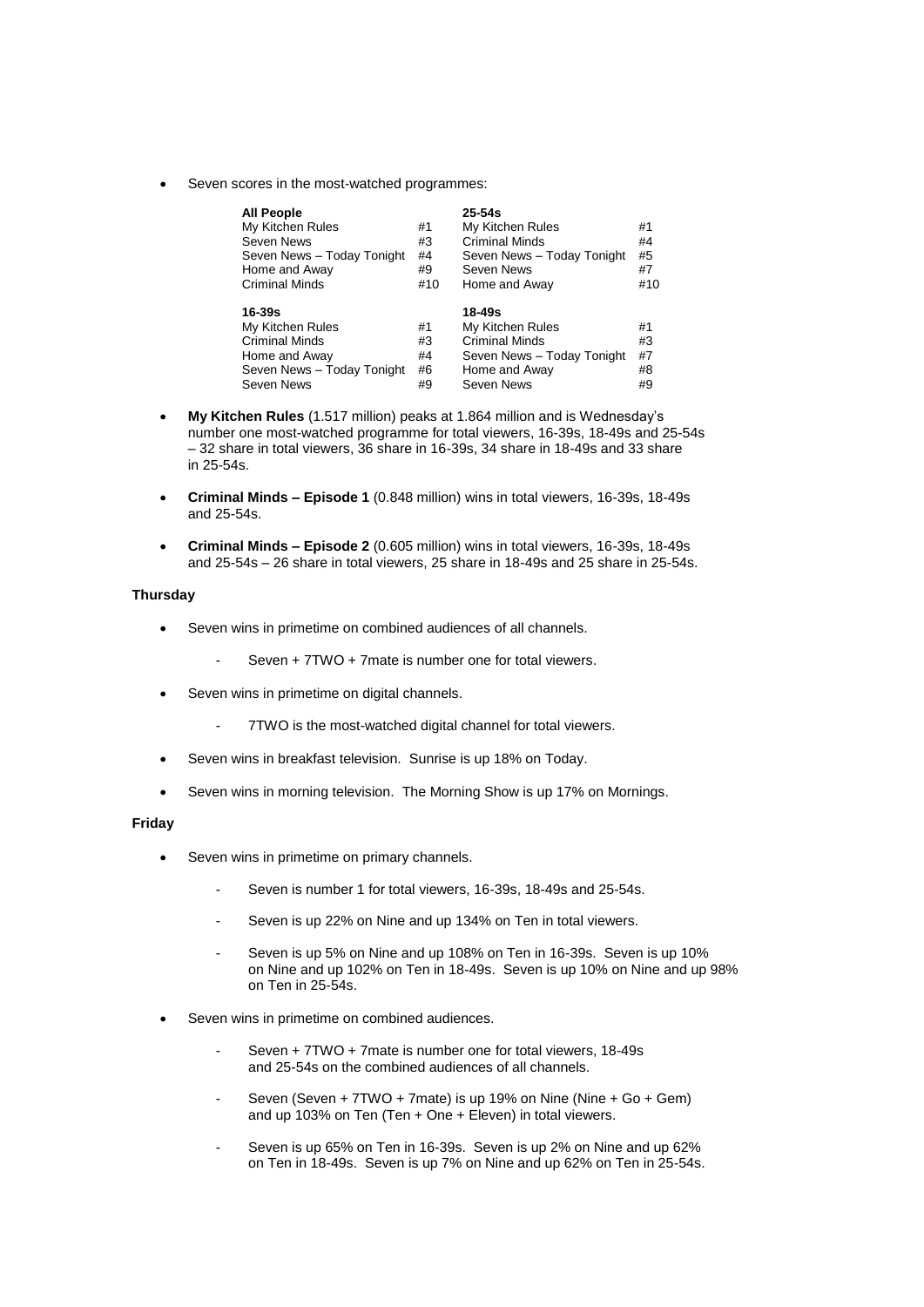Seven scores in the most-watched programmes:

| <b>All People</b><br>My Kitchen Rules<br>Seven News<br>Seven News - Today Tonight<br>Home and Away<br><b>Criminal Minds</b> | #1<br>#3<br>#4<br>#9<br>#10 | $25 - 54s$<br>My Kitchen Rules<br><b>Criminal Minds</b><br>Seven News - Today Tonight<br>Seven News<br>Home and Away | #1<br>#4<br>#5<br>#7<br>#10 |
|-----------------------------------------------------------------------------------------------------------------------------|-----------------------------|----------------------------------------------------------------------------------------------------------------------|-----------------------------|
| 16-39s                                                                                                                      |                             | 18-49s                                                                                                               |                             |
| My Kitchen Rules                                                                                                            | #1                          | My Kitchen Rules                                                                                                     | #1                          |
| <b>Criminal Minds</b>                                                                                                       | #3                          | Criminal Minds                                                                                                       | #3                          |
| Home and Away                                                                                                               | #4                          | Seven News - Today Tonight                                                                                           | #7                          |
| Seven News - Today Tonight                                                                                                  | #6                          | Home and Away                                                                                                        | #8                          |
| Seven News                                                                                                                  | #9                          | Seven News                                                                                                           | #9                          |

- **My Kitchen Rules** (1.517 million) peaks at 1.864 million and is Wednesday's number one most-watched programme for total viewers, 16-39s, 18-49s and 25-54s – 32 share in total viewers, 36 share in 16-39s, 34 share in 18-49s and 33 share in 25-54s.
- **Criminal Minds – Episode 1** (0.848 million) wins in total viewers, 16-39s, 18-49s and 25-54s.
- **Criminal Minds – Episode 2** (0.605 million) wins in total viewers, 16-39s, 18-49s and 25-54s – 26 share in total viewers, 25 share in 18-49s and 25 share in 25-54s.

### **Thursday**

- Seven wins in primetime on combined audiences of all channels.
	- Seven + 7TWO + 7mate is number one for total viewers.
- Seven wins in primetime on digital channels.
	- 7TWO is the most-watched digital channel for total viewers.
- Seven wins in breakfast television. Sunrise is up 18% on Today.
- Seven wins in morning television. The Morning Show is up 17% on Mornings.

## **Friday**

- Seven wins in primetime on primary channels.
	- Seven is number 1 for total viewers, 16-39s, 18-49s and 25-54s.
	- Seven is up 22% on Nine and up 134% on Ten in total viewers.
	- Seven is up 5% on Nine and up 108% on Ten in 16-39s. Seven is up 10% on Nine and up 102% on Ten in 18-49s. Seven is up 10% on Nine and up 98% on Ten in 25-54s.
- Seven wins in primetime on combined audiences.
	- Seven + 7TWO + 7mate is number one for total viewers, 18-49s and 25-54s on the combined audiences of all channels.
	- Seven (Seven + 7TWO + 7mate) is up 19% on Nine (Nine + Go + Gem) and up 103% on Ten (Ten + One + Eleven) in total viewers.
	- Seven is up 65% on Ten in 16-39s. Seven is up 2% on Nine and up 62% on Ten in 18-49s. Seven is up 7% on Nine and up 62% on Ten in 25-54s.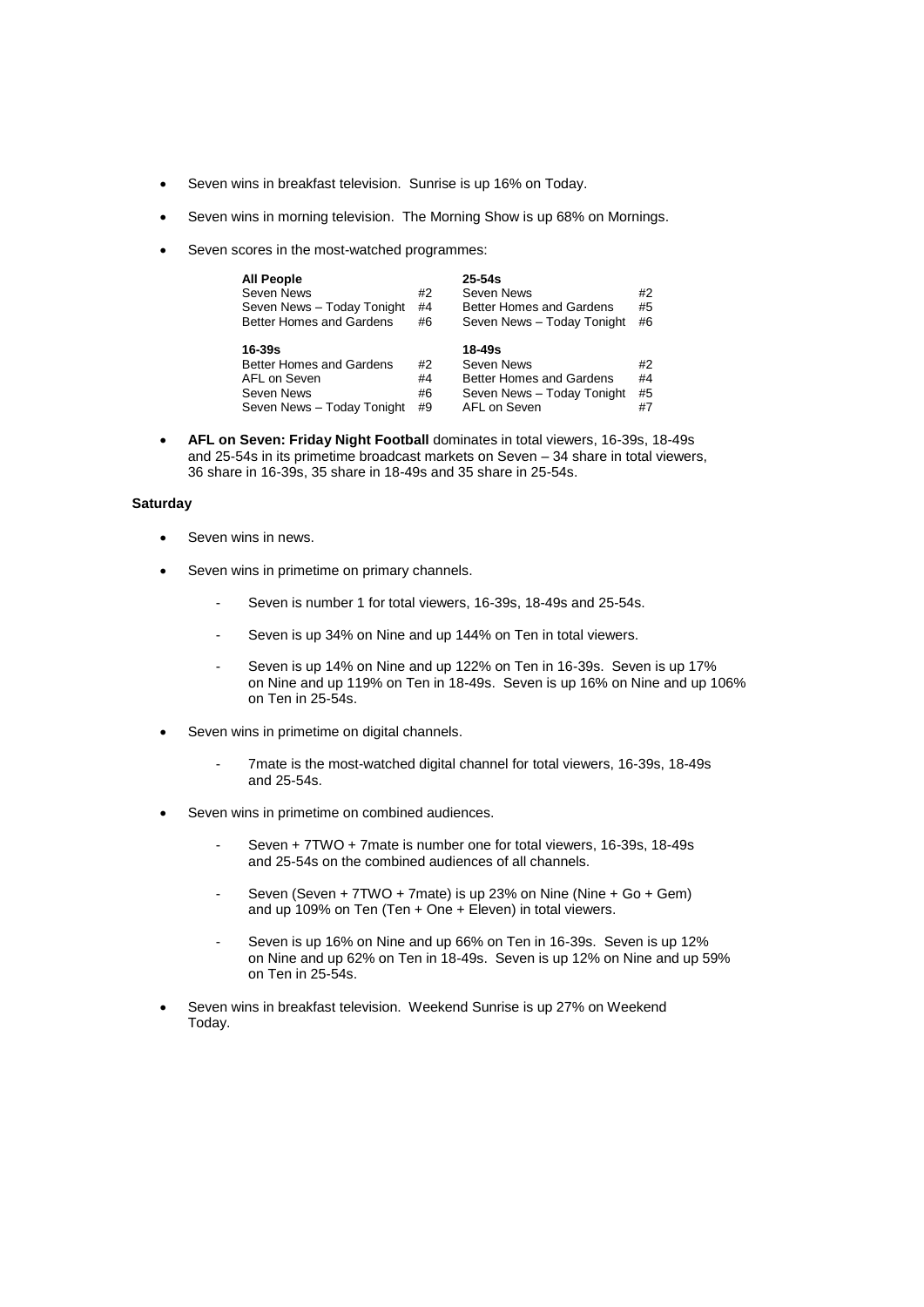- Seven wins in breakfast television. Sunrise is up 16% on Today.
- Seven wins in morning television. The Morning Show is up 68% on Mornings.
- Seven scores in the most-watched programmes:

| <b>All People</b><br>Seven News<br>Seven News - Today Tonight<br>Better Homes and Gardens | #2<br>#4<br>#6 | $25-54s$<br>Seven News<br>Better Homes and Gardens<br>Seven News - Today Tonight | #2<br>#5<br>#6 |
|-------------------------------------------------------------------------------------------|----------------|----------------------------------------------------------------------------------|----------------|
| 16-39s                                                                                    |                | 18-49s                                                                           |                |
| Better Homes and Gardens                                                                  | #2             | Seven News                                                                       | #2             |
| AFL on Seven                                                                              | #4             | <b>Better Homes and Gardens</b>                                                  | #4             |
|                                                                                           |                |                                                                                  |                |
| Seven News                                                                                | #6             | Seven News - Today Tonight                                                       | #5             |

 **AFL on Seven: Friday Night Football** dominates in total viewers, 16-39s, 18-49s and 25-54s in its primetime broadcast markets on Seven – 34 share in total viewers, 36 share in 16-39s, 35 share in 18-49s and 35 share in 25-54s.

# **Saturday**

- Seven wins in news.
- Seven wins in primetime on primary channels.
	- Seven is number 1 for total viewers, 16-39s, 18-49s and 25-54s.
	- Seven is up 34% on Nine and up 144% on Ten in total viewers.
	- Seven is up 14% on Nine and up 122% on Ten in 16-39s. Seven is up 17% on Nine and up 119% on Ten in 18-49s. Seven is up 16% on Nine and up 106% on Ten in 25-54s.
- Seven wins in primetime on digital channels.
	- 7mate is the most-watched digital channel for total viewers, 16-39s, 18-49s and 25-54s.
- Seven wins in primetime on combined audiences.
	- Seven + 7TWO + 7mate is number one for total viewers, 16-39s, 18-49s and 25-54s on the combined audiences of all channels.
	- Seven (Seven + 7TWO + 7mate) is up 23% on Nine (Nine + Go + Gem) and up 109% on Ten (Ten + One + Eleven) in total viewers.
	- Seven is up 16% on Nine and up 66% on Ten in 16-39s. Seven is up 12% on Nine and up 62% on Ten in 18-49s. Seven is up 12% on Nine and up 59% on Ten in 25-54s.
- Seven wins in breakfast television. Weekend Sunrise is up 27% on Weekend Today.